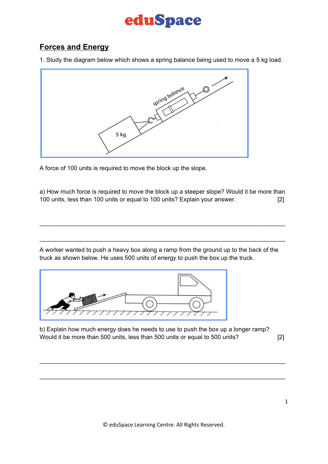## eduSpace

## **Forces and Energy**

1. Study the diagram below which shows a spring balance being used to move a 5 kg load.



A force of 100 units is required to move the block up the slope.

a) How much force is required to move the block up a steeper slope? Would it be more than 100 units, less than 100 units or equal to 100 units? Explain your answer. [2]

\_\_\_\_\_\_\_\_\_\_\_\_\_\_\_\_\_\_\_\_\_\_\_\_\_\_\_\_\_\_\_\_\_\_\_\_\_\_\_\_\_\_\_\_\_\_\_\_\_\_\_\_\_\_\_\_\_\_\_\_\_\_\_\_\_\_\_\_\_\_\_\_\_

\_\_\_\_\_\_\_\_\_\_\_\_\_\_\_\_\_\_\_\_\_\_\_\_\_\_\_\_\_\_\_\_\_\_\_\_\_\_\_\_\_\_\_\_\_\_\_\_\_\_\_\_\_\_\_\_\_\_\_\_\_\_\_\_\_\_\_\_\_\_\_\_\_

A worker wanted to push a heavy box along a ramp from the ground up to the back of the truck as shown below. He uses 500 units of energy to push the box up the truck.



b) Explain how much energy does he needs to use to push the box up a longer ramp? Would it be more than 500 units, less than 500 units or equal to 500 units? [2]

\_\_\_\_\_\_\_\_\_\_\_\_\_\_\_\_\_\_\_\_\_\_\_\_\_\_\_\_\_\_\_\_\_\_\_\_\_\_\_\_\_\_\_\_\_\_\_\_\_\_\_\_\_\_\_\_\_\_\_\_\_\_\_\_\_\_\_\_\_\_\_\_\_

\_\_\_\_\_\_\_\_\_\_\_\_\_\_\_\_\_\_\_\_\_\_\_\_\_\_\_\_\_\_\_\_\_\_\_\_\_\_\_\_\_\_\_\_\_\_\_\_\_\_\_\_\_\_\_\_\_\_\_\_\_\_\_\_\_\_\_\_\_\_\_\_\_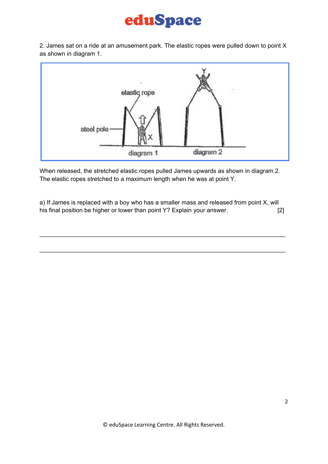## eduSpace

2. James sat on a ride at an amusement park. The elastic ropes were pulled down to point X as shown in diagram 1.



When released, the stretched elastic ropes pulled James upwards as shown in diagram 2. The elastic ropes stretched to a maximum length when he was at point Y.

a) If James is replaced with a boy who has a smaller mass and released from point X, will his final position be higher or lower than point Y? Explain your answer. [2]

\_\_\_\_\_\_\_\_\_\_\_\_\_\_\_\_\_\_\_\_\_\_\_\_\_\_\_\_\_\_\_\_\_\_\_\_\_\_\_\_\_\_\_\_\_\_\_\_\_\_\_\_\_\_\_\_\_\_\_\_\_\_\_\_\_\_\_\_\_\_\_\_\_

\_\_\_\_\_\_\_\_\_\_\_\_\_\_\_\_\_\_\_\_\_\_\_\_\_\_\_\_\_\_\_\_\_\_\_\_\_\_\_\_\_\_\_\_\_\_\_\_\_\_\_\_\_\_\_\_\_\_\_\_\_\_\_\_\_\_\_\_\_\_\_\_\_